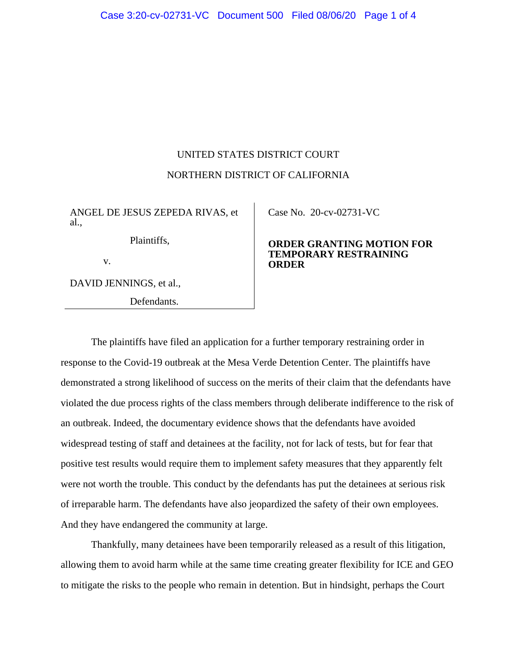## UNITED STATES DISTRICT COURT

#### NORTHERN DISTRICT OF CALIFORNIA

ANGEL DE JESUS ZEPEDA RIVAS, et al.,

Plaintiffs,

v.

DAVID JENNINGS, et al.,

Defendants.

Case No. [20-cv-02731-VC](https://ecf.cand.uscourts.gov/cgi-bin/DktRpt.pl?358452) 

## **ORDER GRANTING MOTION FOR TEMPORARY RESTRAINING ORDER**

The plaintiffs have filed an application for a further temporary restraining order in response to the Covid-19 outbreak at the Mesa Verde Detention Center. The plaintiffs have demonstrated a strong likelihood of success on the merits of their claim that the defendants have violated the due process rights of the class members through deliberate indifference to the risk of an outbreak. Indeed, the documentary evidence shows that the defendants have avoided widespread testing of staff and detainees at the facility, not for lack of tests, but for fear that positive test results would require them to implement safety measures that they apparently felt were not worth the trouble. This conduct by the defendants has put the detainees at serious risk of irreparable harm. The defendants have also jeopardized the safety of their own employees. And they have endangered the community at large.

Thankfully, many detainees have been temporarily released as a result of this litigation, allowing them to avoid harm while at the same time creating greater flexibility for ICE and GEO to mitigate the risks to the people who remain in detention. But in hindsight, perhaps the Court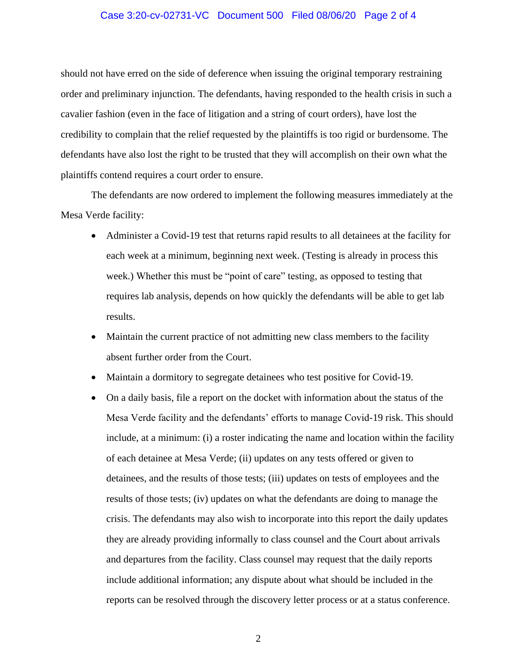### Case 3:20-cv-02731-VC Document 500 Filed 08/06/20 Page 2 of 4

should not have erred on the side of deference when issuing the original temporary restraining order and preliminary injunction. The defendants, having responded to the health crisis in such a cavalier fashion (even in the face of litigation and a string of court orders), have lost the credibility to complain that the relief requested by the plaintiffs is too rigid or burdensome. The defendants have also lost the right to be trusted that they will accomplish on their own what the plaintiffs contend requires a court order to ensure.

The defendants are now ordered to implement the following measures immediately at the Mesa Verde facility:

- Administer a Covid-19 test that returns rapid results to all detainees at the facility for each week at a minimum, beginning next week. (Testing is already in process this week.) Whether this must be "point of care" testing, as opposed to testing that requires lab analysis, depends on how quickly the defendants will be able to get lab results.
- Maintain the current practice of not admitting new class members to the facility absent further order from the Court.
- Maintain a dormitory to segregate detainees who test positive for Covid-19.
- On a daily basis, file a report on the docket with information about the status of the Mesa Verde facility and the defendants' efforts to manage Covid-19 risk. This should include, at a minimum: (i) a roster indicating the name and location within the facility of each detainee at Mesa Verde; (ii) updates on any tests offered or given to detainees, and the results of those tests; (iii) updates on tests of employees and the results of those tests; (iv) updates on what the defendants are doing to manage the crisis. The defendants may also wish to incorporate into this report the daily updates they are already providing informally to class counsel and the Court about arrivals and departures from the facility. Class counsel may request that the daily reports include additional information; any dispute about what should be included in the reports can be resolved through the discovery letter process or at a status conference.

2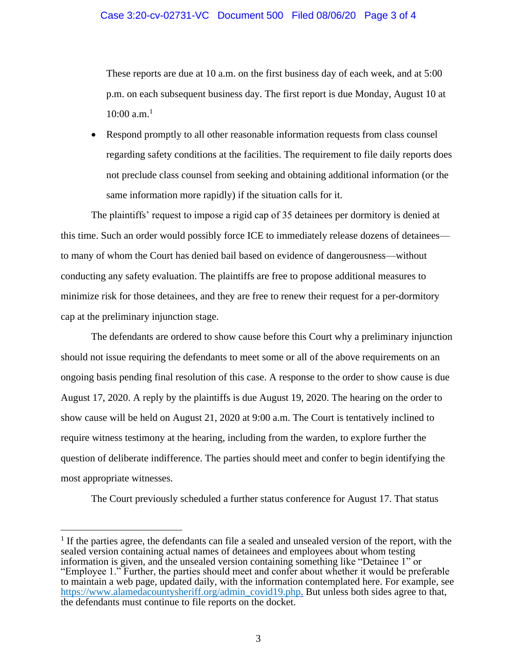## Case 3:20-cv-02731-VC Document 500 Filed 08/06/20 Page 3 of 4

These reports are due at 10 a.m. on the first business day of each week, and at 5:00 p.m. on each subsequent business day. The first report is due Monday, August 10 at  $10:00$  a.m.<sup>1</sup>

• Respond promptly to all other reasonable information requests from class counsel regarding safety conditions at the facilities. The requirement to file daily reports does not preclude class counsel from seeking and obtaining additional information (or the same information more rapidly) if the situation calls for it.

The plaintiffs' request to impose a rigid cap of 35 detainees per dormitory is denied at this time. Such an order would possibly force ICE to immediately release dozens of detainees to many of whom the Court has denied bail based on evidence of dangerousness—without conducting any safety evaluation. The plaintiffs are free to propose additional measures to minimize risk for those detainees, and they are free to renew their request for a per-dormitory cap at the preliminary injunction stage.

The defendants are ordered to show cause before this Court why a preliminary injunction should not issue requiring the defendants to meet some or all of the above requirements on an ongoing basis pending final resolution of this case. A response to the order to show cause is due August 17, 2020. A reply by the plaintiffs is due August 19, 2020. The hearing on the order to show cause will be held on August 21, 2020 at 9:00 a.m. The Court is tentatively inclined to require witness testimony at the hearing, including from the warden, to explore further the question of deliberate indifference. The parties should meet and confer to begin identifying the most appropriate witnesses.

The Court previously scheduled a further status conference for August 17. That status

 $<sup>1</sup>$  If the parties agree, the defendants can file a sealed and unsealed version of the report, with the</sup> sealed version containing actual names of detainees and employees about whom testing information is given, and the unsealed version containing something like "Detainee 1" or "Employee 1." Further, the parties should meet and confer about whether it would be preferable to maintain a web page, updated daily, with the information contemplated here. For example, see [https://www.alamedacountysheriff.org/admin\\_covid19.php.](https://www.alamedacountysheriff.org/admin_covid19.php) But unless both sides agree to that, the defendants must continue to file reports on the docket.